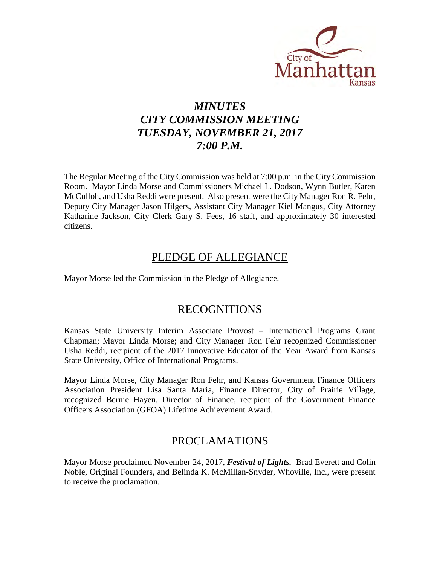

# *MINUTES CITY COMMISSION MEETING TUESDAY, NOVEMBER 21, 2017 7:00 P.M.*

The Regular Meeting of the City Commission was held at 7:00 p.m. in the City Commission Room. Mayor Linda Morse and Commissioners Michael L. Dodson, Wynn Butler, Karen McCulloh, and Usha Reddi were present. Also present were the City Manager Ron R. Fehr, Deputy City Manager Jason Hilgers, Assistant City Manager Kiel Mangus, City Attorney Katharine Jackson, City Clerk Gary S. Fees, 16 staff, and approximately 30 interested citizens.

### PLEDGE OF ALLEGIANCE

Mayor Morse led the Commission in the Pledge of Allegiance.

### RECOGNITIONS

Kansas State University Interim Associate Provost – International Programs Grant Chapman; Mayor Linda Morse; and City Manager Ron Fehr recognized Commissioner Usha Reddi, recipient of the 2017 Innovative Educator of the Year Award from Kansas State University, Office of International Programs.

Mayor Linda Morse, City Manager Ron Fehr, and Kansas Government Finance Officers Association President Lisa Santa Maria, Finance Director, City of Prairie Village, recognized Bernie Hayen, Director of Finance, recipient of the Government Finance Officers Association (GFOA) Lifetime Achievement Award.

### PROCLAMATIONS

Mayor Morse proclaimed November 24, 2017, *Festival of Lights.* Brad Everett and Colin Noble, Original Founders, and Belinda K. McMillan-Snyder, Whoville, Inc., were present to receive the proclamation.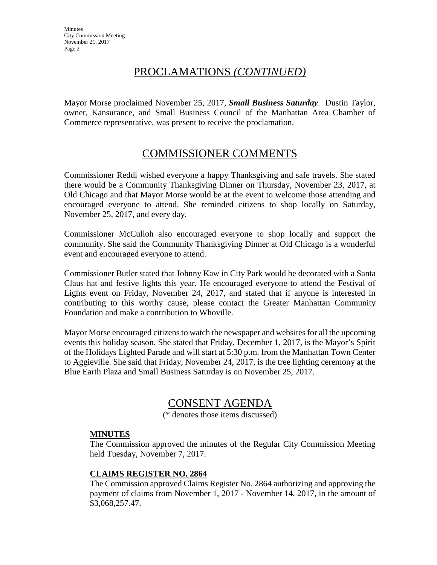## PROCLAMATIONS *(CONTINUED)*

Mayor Morse proclaimed November 25, 2017, *Small Business Saturday*. Dustin Taylor, owner, Kansurance, and Small Business Council of the Manhattan Area Chamber of Commerce representative, was present to receive the proclamation.

## COMMISSIONER COMMENTS

Commissioner Reddi wished everyone a happy Thanksgiving and safe travels. She stated there would be a Community Thanksgiving Dinner on Thursday, November 23, 2017, at Old Chicago and that Mayor Morse would be at the event to welcome those attending and encouraged everyone to attend. She reminded citizens to shop locally on Saturday, November 25, 2017, and every day.

Commissioner McCulloh also encouraged everyone to shop locally and support the community. She said the Community Thanksgiving Dinner at Old Chicago is a wonderful event and encouraged everyone to attend.

Commissioner Butler stated that Johnny Kaw in City Park would be decorated with a Santa Claus hat and festive lights this year. He encouraged everyone to attend the Festival of Lights event on Friday, November 24, 2017, and stated that if anyone is interested in contributing to this worthy cause, please contact the Greater Manhattan Community Foundation and make a contribution to Whoville.

Mayor Morse encouraged citizens to watch the newspaper and websites for all the upcoming events this holiday season. She stated that Friday, December 1, 2017, is the Mayor's Spirit of the Holidays Lighted Parade and will start at 5:30 p.m. from the Manhattan Town Center to Aggieville. She said that Friday, November 24, 2017, is the tree lighting ceremony at the Blue Earth Plaza and Small Business Saturday is on November 25, 2017.

## CONSENT AGENDA

(\* denotes those items discussed)

### **MINUTES**

The Commission approved the minutes of the Regular City Commission Meeting held Tuesday, November 7, 2017.

### **CLAIMS REGISTER NO. 2864**

The Commission approved Claims Register No. 2864 authorizing and approving the payment of claims from November 1, 2017 - November 14, 2017, in the amount of \$3,068,257.47.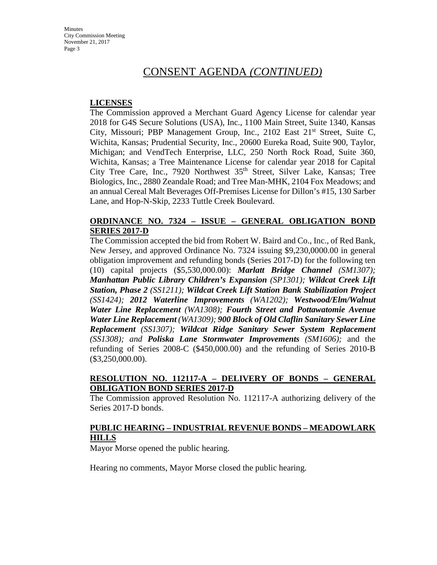### CONSENT AGENDA *(CONTINUED)*

#### **LICENSES**

The Commission approved a Merchant Guard Agency License for calendar year 2018 for G4S Secure Solutions (USA), Inc., 1100 Main Street, Suite 1340, Kansas City, Missouri; PBP Management Group, Inc., 2102 East  $21<sup>st</sup>$  Street, Suite C, Wichita, Kansas; Prudential Security, Inc., 20600 Eureka Road, Suite 900, Taylor, Michigan; and VendTech Enterprise, LLC, 250 North Rock Road, Suite 360, Wichita, Kansas; a Tree Maintenance License for calendar year 2018 for Capital City Tree Care, Inc., 7920 Northwest 35<sup>th</sup> Street, Silver Lake, Kansas; Tree Biologics, Inc., 2880 Zeandale Road; and Tree Man-MHK, 2104 Fox Meadows; and an annual Cereal Malt Beverages Off-Premises License for Dillon's #15, 130 Sarber Lane, and Hop-N-Skip, 2233 Tuttle Creek Boulevard.

#### **ORDINANCE NO. 7324 – ISSUE – GENERAL OBLIGATION BOND SERIES 2017-D**

The Commission accepted the bid from Robert W. Baird and Co., Inc., of Red Bank, New Jersey, and approved Ordinance No. 7324 issuing \$9,230,0000.00 in general obligation improvement and refunding bonds (Series 2017-D) for the following ten (10) capital projects (\$5,530,000.00): *Marlatt Bridge Channel (SM1307); Manhattan Public Library Children's Expansion (SP1301); Wildcat Creek Lift Station, Phase 2 (SS1211); Wildcat Creek Lift Station Bank Stabilization Project (SS1424); 2012 Waterline Improvements (WA1202); Westwood/Elm/Walnut Water Line Replacement (WA1308); Fourth Street and Pottawatomie Avenue Water Line Replacement (WA1309); 900 Block of Old Claflin Sanitary Sewer Line Replacement (SS1307); Wildcat Ridge Sanitary Sewer System Replacement (SS1308); and Poliska Lane Stormwater Improvements (SM1606);* and the refunding of Series 2008-C (\$450,000.00) and the refunding of Series 2010-B (\$3,250,000.00).

### **RESOLUTION NO. 112117-A – DELIVERY OF BONDS – GENERAL OBLIGATION BOND SERIES 2017-D**

The Commission approved Resolution No. 112117-A authorizing delivery of the Series 2017-D bonds.

### **PUBLIC HEARING – INDUSTRIAL REVENUE BONDS – MEADOWLARK HILLS**

Mayor Morse opened the public hearing.

Hearing no comments, Mayor Morse closed the public hearing.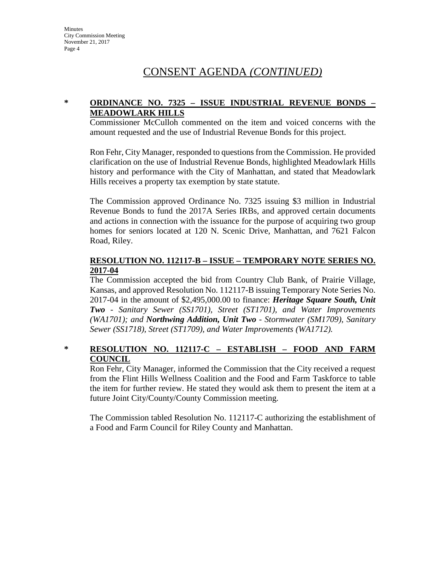## CONSENT AGENDA *(CONTINUED)*

### **\* ORDINANCE NO. 7325 – ISSUE INDUSTRIAL REVENUE BONDS – MEADOWLARK HILLS**

Commissioner McCulloh commented on the item and voiced concerns with the amount requested and the use of Industrial Revenue Bonds for this project.

Ron Fehr, City Manager, responded to questions from the Commission. He provided clarification on the use of Industrial Revenue Bonds, highlighted Meadowlark Hills history and performance with the City of Manhattan, and stated that Meadowlark Hills receives a property tax exemption by state statute.

The Commission approved Ordinance No. 7325 issuing \$3 million in Industrial Revenue Bonds to fund the 2017A Series IRBs, and approved certain documents and actions in connection with the issuance for the purpose of acquiring two group homes for seniors located at 120 N. Scenic Drive, Manhattan, and 7621 Falcon Road, Riley.

### **RESOLUTION NO. 112117-B – ISSUE – TEMPORARY NOTE SERIES NO. 2017-04**

The Commission accepted the bid from Country Club Bank, of Prairie Village, Kansas, and approved Resolution No. 112117-B issuing Temporary Note Series No. 2017-04 in the amount of \$2,495,000.00 to finance: *Heritage Square South, Unit Two* - *Sanitary Sewer (SS1701), Street (ST1701), and Water Improvements (WA1701); and Northwing Addition, Unit Two* - *Stormwater (SM1709), Sanitary Sewer (SS1718), Street (ST1709), and Water Improvements (WA1712).*

### **\* RESOLUTION NO. 112117-C – ESTABLISH – FOOD AND FARM COUNCIL**

Ron Fehr, City Manager, informed the Commission that the City received a request from the Flint Hills Wellness Coalition and the Food and Farm Taskforce to table the item for further review. He stated they would ask them to present the item at a future Joint City/County/County Commission meeting.

The Commission tabled Resolution No. 112117-C authorizing the establishment of a Food and Farm Council for Riley County and Manhattan.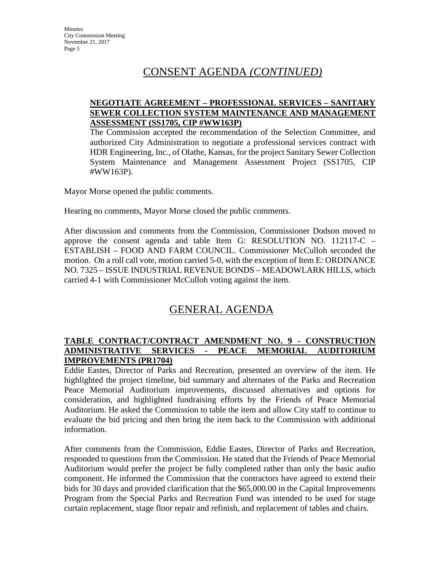## CONSENT AGENDA *(CONTINUED)*

### **NEGOTIATE AGREEMENT – PROFESSIONAL SERVICES – SANITARY SEWER COLLECTION SYSTEM MAINTENANCE AND MANAGEMENT ASSESSMENT (SS1705, CIP #WW163P)**

The Commission accepted the recommendation of the Selection Committee, and authorized City Administration to negotiate a professional services contract with HDR Engineering, Inc., of Olathe, Kansas, for the project Sanitary Sewer Collection System Maintenance and Management Assessment Project (SS1705, CIP #WW163P).

Mayor Morse opened the public comments.

Hearing no comments, Mayor Morse closed the public comments.

After discussion and comments from the Commission, Commissioner Dodson moved to approve the consent agenda and table Item G: RESOLUTION NO. 112117-C – ESTABLISH – FOOD AND FARM COUNCIL. Commissioner McCulloh seconded the motion. On a roll call vote, motion carried 5-0, with the exception of Item E: ORDINANCE NO. 7325 – ISSUE INDUSTRIAL REVENUE BONDS – MEADOWLARK HILLS, which carried 4-1 with Commissioner McCulloh voting against the item.

## GENERAL AGENDA

### **TABLE CONTRACT/CONTRACT AMENDMENT NO. 9 - CONSTRUCTION ADMINISTRATIVE SERVICES - PEACE MEMORIAL AUDITORIUM IMPROVEMENTS (PR1704)**

Eddie Eastes, Director of Parks and Recreation, presented an overview of the item. He highlighted the project timeline, bid summary and alternates of the Parks and Recreation Peace Memorial Auditorium improvements, discussed alternatives and options for consideration, and highlighted fundraising efforts by the Friends of Peace Memorial Auditorium. He asked the Commission to table the item and allow City staff to continue to evaluate the bid pricing and then bring the item back to the Commission with additional information.

After comments from the Commission, Eddie Eastes, Director of Parks and Recreation, responded to questions from the Commission. He stated that the Friends of Peace Memorial Auditorium would prefer the project be fully completed rather than only the basic audio component. He informed the Commission that the contractors have agreed to extend their bids for 30 days and provided clarification that the \$65,000.00 in the Capital Improvements Program from the Special Parks and Recreation Fund was intended to be used for stage curtain replacement, stage floor repair and refinish, and replacement of tables and chairs.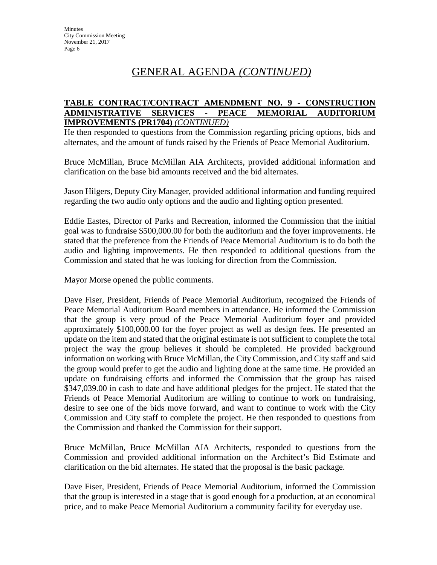### **TABLE CONTRACT/CONTRACT AMENDMENT NO. 9 - CONSTRUCTION ADMINISTRATIVE SERVICES - PEACE MEMORIAL AUDITORIUM IMPROVEMENTS (PR1704)** *(CONTINUED)*

He then responded to questions from the Commission regarding pricing options, bids and alternates, and the amount of funds raised by the Friends of Peace Memorial Auditorium.

Bruce McMillan, Bruce McMillan AIA Architects, provided additional information and clarification on the base bid amounts received and the bid alternates.

Jason Hilgers, Deputy City Manager, provided additional information and funding required regarding the two audio only options and the audio and lighting option presented.

Eddie Eastes, Director of Parks and Recreation, informed the Commission that the initial goal was to fundraise \$500,000.00 for both the auditorium and the foyer improvements. He stated that the preference from the Friends of Peace Memorial Auditorium is to do both the audio and lighting improvements. He then responded to additional questions from the Commission and stated that he was looking for direction from the Commission.

Mayor Morse opened the public comments.

Dave Fiser, President, Friends of Peace Memorial Auditorium, recognized the Friends of Peace Memorial Auditorium Board members in attendance. He informed the Commission that the group is very proud of the Peace Memorial Auditorium foyer and provided approximately \$100,000.00 for the foyer project as well as design fees. He presented an update on the item and stated that the original estimate is not sufficient to complete the total project the way the group believes it should be completed. He provided background information on working with Bruce McMillan, the City Commission, and City staff and said the group would prefer to get the audio and lighting done at the same time. He provided an update on fundraising efforts and informed the Commission that the group has raised \$347,039.00 in cash to date and have additional pledges for the project. He stated that the Friends of Peace Memorial Auditorium are willing to continue to work on fundraising, desire to see one of the bids move forward, and want to continue to work with the City Commission and City staff to complete the project. He then responded to questions from the Commission and thanked the Commission for their support.

Bruce McMillan, Bruce McMillan AIA Architects, responded to questions from the Commission and provided additional information on the Architect's Bid Estimate and clarification on the bid alternates. He stated that the proposal is the basic package.

Dave Fiser, President, Friends of Peace Memorial Auditorium, informed the Commission that the group is interested in a stage that is good enough for a production, at an economical price, and to make Peace Memorial Auditorium a community facility for everyday use.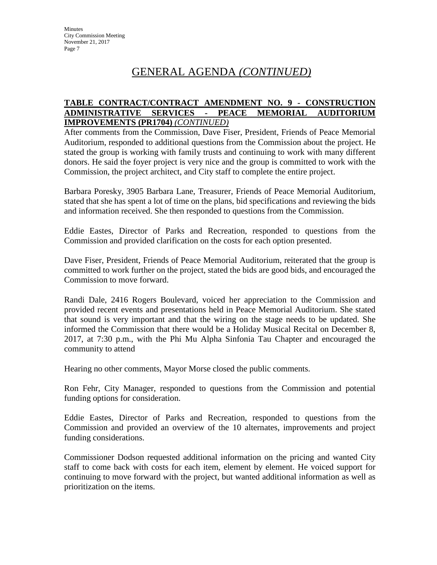### **TABLE CONTRACT/CONTRACT AMENDMENT NO. 9 - CONSTRUCTION ADMINISTRATIVE SERVICES - PEACE MEMORIAL AUDITORIUM IMPROVEMENTS (PR1704)** *(CONTINUED)*

After comments from the Commission, Dave Fiser, President, Friends of Peace Memorial Auditorium, responded to additional questions from the Commission about the project. He stated the group is working with family trusts and continuing to work with many different donors. He said the foyer project is very nice and the group is committed to work with the Commission, the project architect, and City staff to complete the entire project.

Barbara Poresky, 3905 Barbara Lane, Treasurer, Friends of Peace Memorial Auditorium, stated that she has spent a lot of time on the plans, bid specifications and reviewing the bids and information received. She then responded to questions from the Commission.

Eddie Eastes, Director of Parks and Recreation, responded to questions from the Commission and provided clarification on the costs for each option presented.

Dave Fiser, President, Friends of Peace Memorial Auditorium, reiterated that the group is committed to work further on the project, stated the bids are good bids, and encouraged the Commission to move forward.

Randi Dale, 2416 Rogers Boulevard, voiced her appreciation to the Commission and provided recent events and presentations held in Peace Memorial Auditorium. She stated that sound is very important and that the wiring on the stage needs to be updated. She informed the Commission that there would be a Holiday Musical Recital on December 8, 2017, at 7:30 p.m., with the Phi Mu Alpha Sinfonia Tau Chapter and encouraged the community to attend

Hearing no other comments, Mayor Morse closed the public comments.

Ron Fehr, City Manager, responded to questions from the Commission and potential funding options for consideration.

Eddie Eastes, Director of Parks and Recreation, responded to questions from the Commission and provided an overview of the 10 alternates, improvements and project funding considerations.

Commissioner Dodson requested additional information on the pricing and wanted City staff to come back with costs for each item, element by element. He voiced support for continuing to move forward with the project, but wanted additional information as well as prioritization on the items.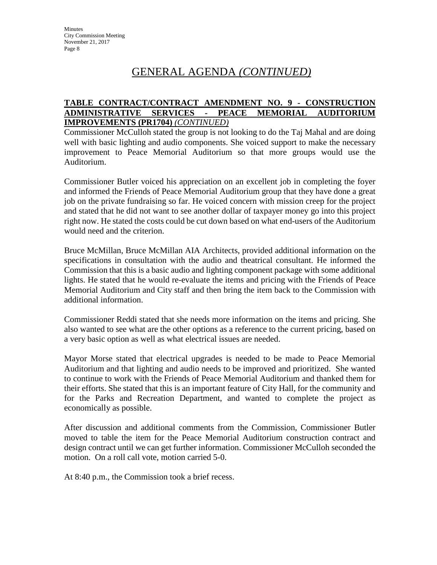### **TABLE CONTRACT/CONTRACT AMENDMENT NO. 9 - CONSTRUCTION ADMINISTRATIVE SERVICES - PEACE MEMORIAL AUDITORIUM IMPROVEMENTS (PR1704)** *(CONTINUED)*

Commissioner McCulloh stated the group is not looking to do the Taj Mahal and are doing well with basic lighting and audio components. She voiced support to make the necessary improvement to Peace Memorial Auditorium so that more groups would use the Auditorium.

Commissioner Butler voiced his appreciation on an excellent job in completing the foyer and informed the Friends of Peace Memorial Auditorium group that they have done a great job on the private fundraising so far. He voiced concern with mission creep for the project and stated that he did not want to see another dollar of taxpayer money go into this project right now. He stated the costs could be cut down based on what end-users of the Auditorium would need and the criterion.

Bruce McMillan, Bruce McMillan AIA Architects, provided additional information on the specifications in consultation with the audio and theatrical consultant. He informed the Commission that this is a basic audio and lighting component package with some additional lights. He stated that he would re-evaluate the items and pricing with the Friends of Peace Memorial Auditorium and City staff and then bring the item back to the Commission with additional information.

Commissioner Reddi stated that she needs more information on the items and pricing. She also wanted to see what are the other options as a reference to the current pricing, based on a very basic option as well as what electrical issues are needed.

Mayor Morse stated that electrical upgrades is needed to be made to Peace Memorial Auditorium and that lighting and audio needs to be improved and prioritized. She wanted to continue to work with the Friends of Peace Memorial Auditorium and thanked them for their efforts. She stated that this is an important feature of City Hall, for the community and for the Parks and Recreation Department, and wanted to complete the project as economically as possible.

After discussion and additional comments from the Commission, Commissioner Butler moved to table the item for the Peace Memorial Auditorium construction contract and design contract until we can get further information. Commissioner McCulloh seconded the motion. On a roll call vote, motion carried 5-0.

At 8:40 p.m., the Commission took a brief recess.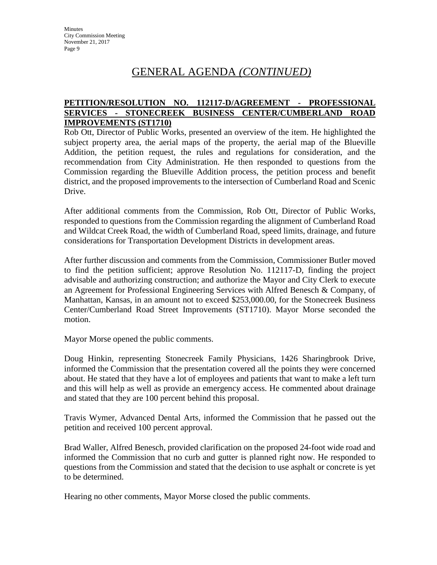### **PETITION/RESOLUTION NO. 112117-D/AGREEMENT - PROFESSIONAL SERVICES - STONECREEK BUSINESS CENTER/CUMBERLAND ROAD IMPROVEMENTS (ST1710)**

Rob Ott, Director of Public Works, presented an overview of the item. He highlighted the subject property area, the aerial maps of the property, the aerial map of the Blueville Addition, the petition request, the rules and regulations for consideration, and the recommendation from City Administration. He then responded to questions from the Commission regarding the Blueville Addition process, the petition process and benefit district, and the proposed improvements to the intersection of Cumberland Road and Scenic Drive.

After additional comments from the Commission, Rob Ott, Director of Public Works, responded to questions from the Commission regarding the alignment of Cumberland Road and Wildcat Creek Road, the width of Cumberland Road, speed limits, drainage, and future considerations for Transportation Development Districts in development areas.

After further discussion and comments from the Commission, Commissioner Butler moved to find the petition sufficient; approve Resolution No. 112117-D, finding the project advisable and authorizing construction; and authorize the Mayor and City Clerk to execute an Agreement for Professional Engineering Services with Alfred Benesch & Company, of Manhattan, Kansas, in an amount not to exceed \$253,000.00, for the Stonecreek Business Center/Cumberland Road Street Improvements (ST1710). Mayor Morse seconded the motion.

Mayor Morse opened the public comments.

Doug Hinkin, representing Stonecreek Family Physicians, 1426 Sharingbrook Drive, informed the Commission that the presentation covered all the points they were concerned about. He stated that they have a lot of employees and patients that want to make a left turn and this will help as well as provide an emergency access. He commented about drainage and stated that they are 100 percent behind this proposal.

Travis Wymer, Advanced Dental Arts, informed the Commission that he passed out the petition and received 100 percent approval.

Brad Waller, Alfred Benesch, provided clarification on the proposed 24-foot wide road and informed the Commission that no curb and gutter is planned right now. He responded to questions from the Commission and stated that the decision to use asphalt or concrete is yet to be determined.

Hearing no other comments, Mayor Morse closed the public comments.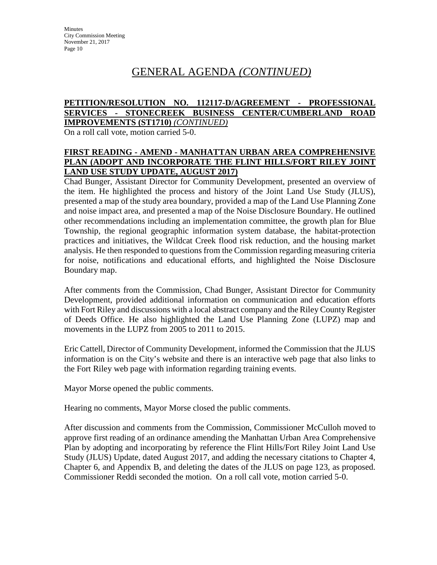### **PETITION/RESOLUTION NO. 112117-D/AGREEMENT - PROFESSIONAL SERVICES - STONECREEK BUSINESS CENTER/CUMBERLAND ROAD IMPROVEMENTS (ST1710)** *(CONTINUED)*

On a roll call vote, motion carried 5-0.

### **FIRST READING - AMEND - MANHATTAN URBAN AREA COMPREHENSIVE PLAN (ADOPT AND INCORPORATE THE FLINT HILLS/FORT RILEY JOINT LAND USE STUDY UPDATE, AUGUST 2017)**

Chad Bunger, Assistant Director for Community Development, presented an overview of the item. He highlighted the process and history of the Joint Land Use Study (JLUS), presented a map of the study area boundary, provided a map of the Land Use Planning Zone and noise impact area, and presented a map of the Noise Disclosure Boundary. He outlined other recommendations including an implementation committee, the growth plan for Blue Township, the regional geographic information system database, the habitat-protection practices and initiatives, the Wildcat Creek flood risk reduction, and the housing market analysis. He then responded to questions from the Commission regarding measuring criteria for noise, notifications and educational efforts, and highlighted the Noise Disclosure Boundary map.

After comments from the Commission, Chad Bunger, Assistant Director for Community Development, provided additional information on communication and education efforts with Fort Riley and discussions with a local abstract company and the Riley County Register of Deeds Office. He also highlighted the Land Use Planning Zone (LUPZ) map and movements in the LUPZ from 2005 to 2011 to 2015.

Eric Cattell, Director of Community Development, informed the Commission that the JLUS information is on the City's website and there is an interactive web page that also links to the Fort Riley web page with information regarding training events.

Mayor Morse opened the public comments.

Hearing no comments, Mayor Morse closed the public comments.

After discussion and comments from the Commission, Commissioner McCulloh moved to approve first reading of an ordinance amending the Manhattan Urban Area Comprehensive Plan by adopting and incorporating by reference the Flint Hills/Fort Riley Joint Land Use Study (JLUS) Update, dated August 2017, and adding the necessary citations to Chapter 4, Chapter 6, and Appendix B, and deleting the dates of the JLUS on page 123, as proposed. Commissioner Reddi seconded the motion. On a roll call vote, motion carried 5-0.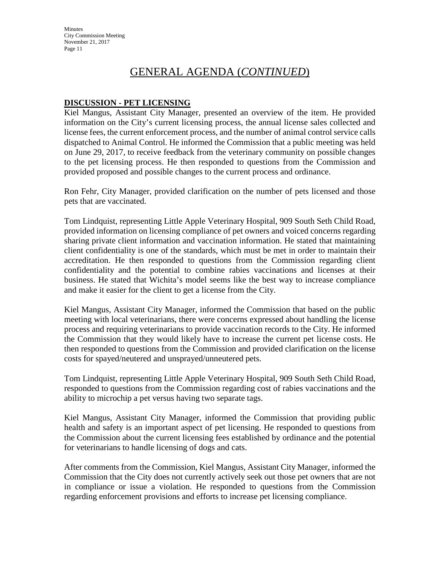## GENERAL AGENDA (*CONTINUED*)

### **DISCUSSION - PET LICENSING**

Kiel Mangus, Assistant City Manager, presented an overview of the item. He provided information on the City's current licensing process, the annual license sales collected and license fees, the current enforcement process, and the number of animal control service calls dispatched to Animal Control. He informed the Commission that a public meeting was held on June 29, 2017, to receive feedback from the veterinary community on possible changes to the pet licensing process. He then responded to questions from the Commission and provided proposed and possible changes to the current process and ordinance.

Ron Fehr, City Manager, provided clarification on the number of pets licensed and those pets that are vaccinated.

Tom Lindquist, representing Little Apple Veterinary Hospital, 909 South Seth Child Road, provided information on licensing compliance of pet owners and voiced concerns regarding sharing private client information and vaccination information. He stated that maintaining client confidentiality is one of the standards, which must be met in order to maintain their accreditation. He then responded to questions from the Commission regarding client confidentiality and the potential to combine rabies vaccinations and licenses at their business. He stated that Wichita's model seems like the best way to increase compliance and make it easier for the client to get a license from the City.

Kiel Mangus, Assistant City Manager, informed the Commission that based on the public meeting with local veterinarians, there were concerns expressed about handling the license process and requiring veterinarians to provide vaccination records to the City. He informed the Commission that they would likely have to increase the current pet license costs. He then responded to questions from the Commission and provided clarification on the license costs for spayed/neutered and unsprayed/unneutered pets.

Tom Lindquist, representing Little Apple Veterinary Hospital, 909 South Seth Child Road, responded to questions from the Commission regarding cost of rabies vaccinations and the ability to microchip a pet versus having two separate tags.

Kiel Mangus, Assistant City Manager, informed the Commission that providing public health and safety is an important aspect of pet licensing. He responded to questions from the Commission about the current licensing fees established by ordinance and the potential for veterinarians to handle licensing of dogs and cats.

After comments from the Commission, Kiel Mangus, Assistant City Manager, informed the Commission that the City does not currently actively seek out those pet owners that are not in compliance or issue a violation. He responded to questions from the Commission regarding enforcement provisions and efforts to increase pet licensing compliance.